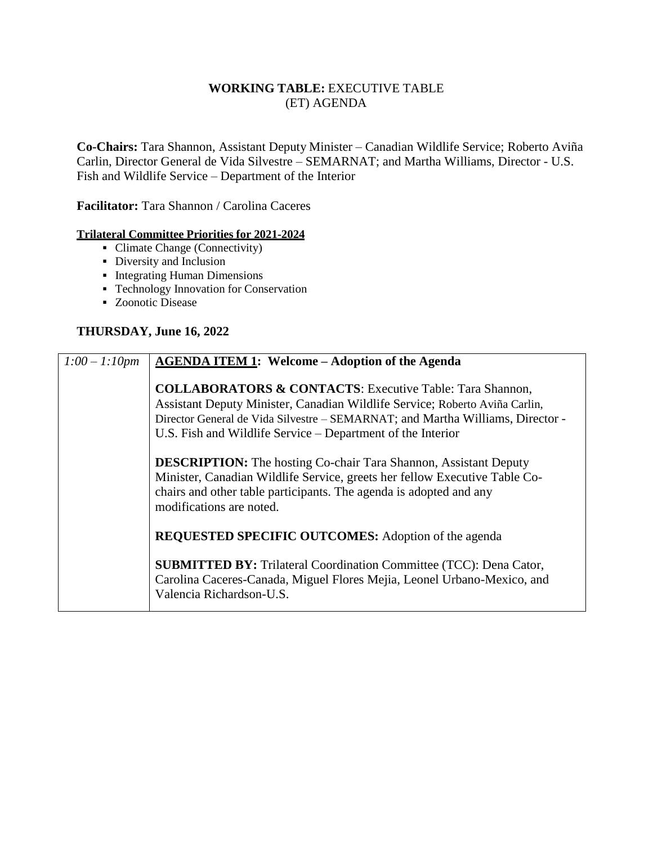## **WORKING TABLE:** EXECUTIVE TABLE (ET) AGENDA

**Co-Chairs:** Tara Shannon, Assistant Deputy Minister – Canadian Wildlife Service; Roberto Aviña Carlin, Director General de Vida Silvestre – SEMARNAT; and Martha Williams, Director - U.S. Fish and Wildlife Service – Department of the Interior

**Facilitator:** Tara Shannon / Carolina Caceres

## **Trilateral Committee Priorities for 2021-2024**

- Climate Change (Connectivity)
- Diversity and Inclusion
- **Integrating Human Dimensions**
- **Technology Innovation for Conservation**
- Zoonotic Disease

## **THURSDAY, June 16, 2022**

| $1:00 - 1:10pm$ | <b>AGENDA ITEM 1: Welcome - Adoption of the Agenda</b>                                                                                                                                                                                                                                              |
|-----------------|-----------------------------------------------------------------------------------------------------------------------------------------------------------------------------------------------------------------------------------------------------------------------------------------------------|
|                 | <b>COLLABORATORS &amp; CONTACTS:</b> Executive Table: Tara Shannon,<br>Assistant Deputy Minister, Canadian Wildlife Service; Roberto Aviña Carlin,<br>Director General de Vida Silvestre – SEMARNAT; and Martha Williams, Director -<br>U.S. Fish and Wildlife Service – Department of the Interior |
|                 | <b>DESCRIPTION:</b> The hosting Co-chair Tara Shannon, Assistant Deputy<br>Minister, Canadian Wildlife Service, greets her fellow Executive Table Co-<br>chairs and other table participants. The agenda is adopted and any<br>modifications are noted.                                             |
|                 | <b>REQUESTED SPECIFIC OUTCOMES:</b> Adoption of the agenda                                                                                                                                                                                                                                          |
|                 | <b>SUBMITTED BY:</b> Trilateral Coordination Committee (TCC): Dena Cator,<br>Carolina Caceres-Canada, Miguel Flores Mejia, Leonel Urbano-Mexico, and<br>Valencia Richardson-U.S.                                                                                                                    |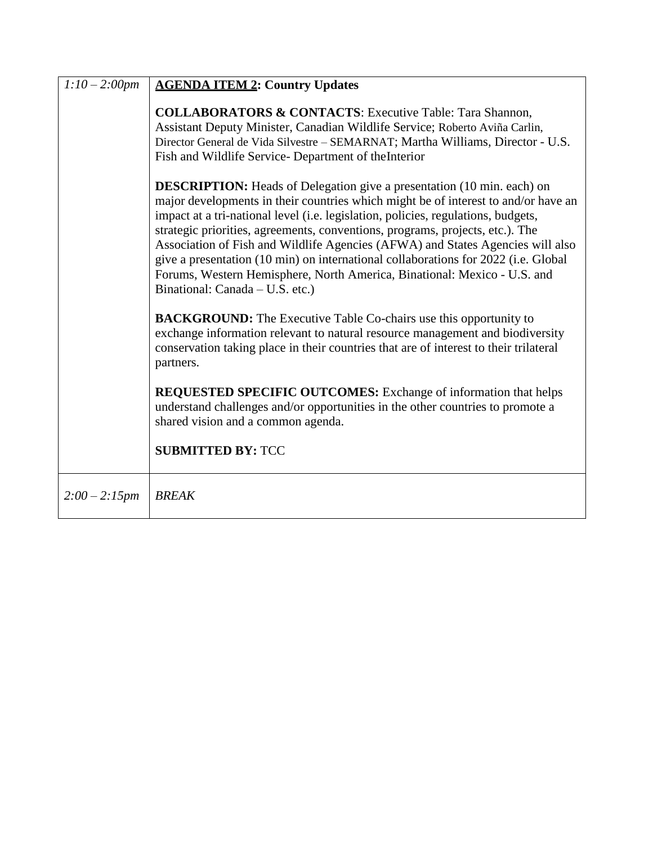| $1:10-2:00$ pm  | <b>AGENDA ITEM 2: Country Updates</b>                                                                                                                                                                                                                                                                                                                                                                                                                                                                                                                                                                                            |
|-----------------|----------------------------------------------------------------------------------------------------------------------------------------------------------------------------------------------------------------------------------------------------------------------------------------------------------------------------------------------------------------------------------------------------------------------------------------------------------------------------------------------------------------------------------------------------------------------------------------------------------------------------------|
|                 | <b>COLLABORATORS &amp; CONTACTS:</b> Executive Table: Tara Shannon,<br>Assistant Deputy Minister, Canadian Wildlife Service; Roberto Aviña Carlin,<br>Director General de Vida Silvestre - SEMARNAT; Martha Williams, Director - U.S.<br>Fish and Wildlife Service- Department of the Interior                                                                                                                                                                                                                                                                                                                                   |
|                 | <b>DESCRIPTION:</b> Heads of Delegation give a presentation (10 min. each) on<br>major developments in their countries which might be of interest to and/or have an<br>impact at a tri-national level (i.e. legislation, policies, regulations, budgets,<br>strategic priorities, agreements, conventions, programs, projects, etc.). The<br>Association of Fish and Wildlife Agencies (AFWA) and States Agencies will also<br>give a presentation (10 min) on international collaborations for 2022 (i.e. Global<br>Forums, Western Hemisphere, North America, Binational: Mexico - U.S. and<br>Binational: Canada – U.S. etc.) |
|                 | <b>BACKGROUND:</b> The Executive Table Co-chairs use this opportunity to<br>exchange information relevant to natural resource management and biodiversity<br>conservation taking place in their countries that are of interest to their trilateral<br>partners.                                                                                                                                                                                                                                                                                                                                                                  |
|                 | <b>REQUESTED SPECIFIC OUTCOMES:</b> Exchange of information that helps<br>understand challenges and/or opportunities in the other countries to promote a<br>shared vision and a common agenda.<br><b>SUBMITTED BY: TCC</b>                                                                                                                                                                                                                                                                                                                                                                                                       |
|                 |                                                                                                                                                                                                                                                                                                                                                                                                                                                                                                                                                                                                                                  |
| $2:00 - 2:15pm$ | <b>BREAK</b>                                                                                                                                                                                                                                                                                                                                                                                                                                                                                                                                                                                                                     |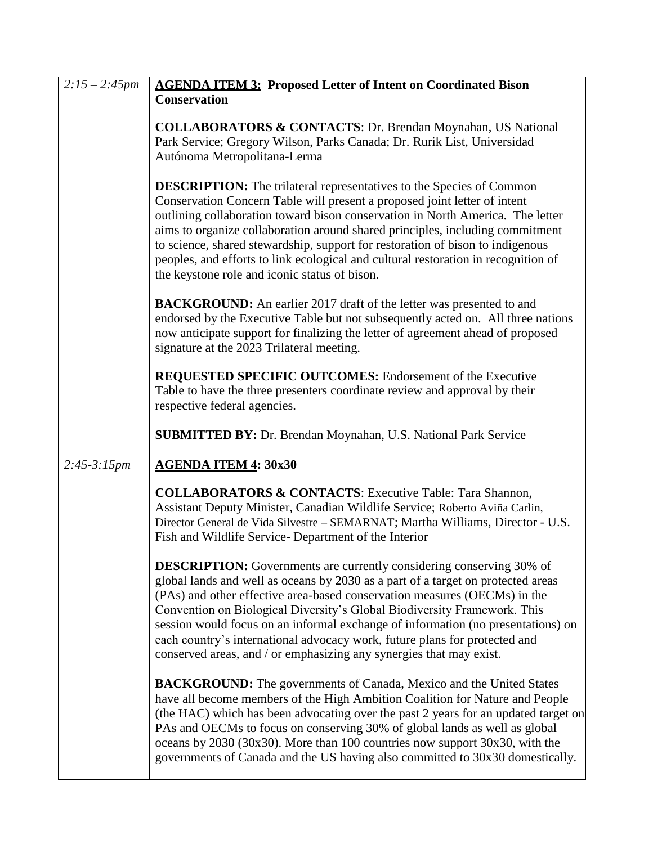| $2:15 - 2:45$ pm | <b>AGENDA ITEM 3: Proposed Letter of Intent on Coordinated Bison</b>                                                                                                                                                                                                                                                                                                                                                                                                                                                                                              |
|------------------|-------------------------------------------------------------------------------------------------------------------------------------------------------------------------------------------------------------------------------------------------------------------------------------------------------------------------------------------------------------------------------------------------------------------------------------------------------------------------------------------------------------------------------------------------------------------|
|                  | <b>Conservation</b>                                                                                                                                                                                                                                                                                                                                                                                                                                                                                                                                               |
|                  | <b>COLLABORATORS &amp; CONTACTS: Dr. Brendan Moynahan, US National</b><br>Park Service; Gregory Wilson, Parks Canada; Dr. Rurik List, Universidad<br>Autónoma Metropolitana-Lerma                                                                                                                                                                                                                                                                                                                                                                                 |
|                  | <b>DESCRIPTION:</b> The trilateral representatives to the Species of Common<br>Conservation Concern Table will present a proposed joint letter of intent<br>outlining collaboration toward bison conservation in North America. The letter<br>aims to organize collaboration around shared principles, including commitment<br>to science, shared stewardship, support for restoration of bison to indigenous<br>peoples, and efforts to link ecological and cultural restoration in recognition of<br>the keystone role and iconic status of bison.              |
|                  | <b>BACKGROUND:</b> An earlier 2017 draft of the letter was presented to and<br>endorsed by the Executive Table but not subsequently acted on. All three nations<br>now anticipate support for finalizing the letter of agreement ahead of proposed<br>signature at the 2023 Trilateral meeting.                                                                                                                                                                                                                                                                   |
|                  | <b>REQUESTED SPECIFIC OUTCOMES:</b> Endorsement of the Executive<br>Table to have the three presenters coordinate review and approval by their<br>respective federal agencies.                                                                                                                                                                                                                                                                                                                                                                                    |
|                  | <b>SUBMITTED BY: Dr. Brendan Moynahan, U.S. National Park Service</b>                                                                                                                                                                                                                                                                                                                                                                                                                                                                                             |
| $2:45-3:15pm$    | <b>AGENDA ITEM 4: 30x30</b>                                                                                                                                                                                                                                                                                                                                                                                                                                                                                                                                       |
|                  | <b>COLLABORATORS &amp; CONTACTS:</b> Executive Table: Tara Shannon,<br>Assistant Deputy Minister, Canadian Wildlife Service; Roberto Aviña Carlin,<br>Director General de Vida Silvestre - SEMARNAT; Martha Williams, Director - U.S.<br>Fish and Wildlife Service- Department of the Interior                                                                                                                                                                                                                                                                    |
|                  | <b>DESCRIPTION:</b> Governments are currently considering conserving 30% of<br>global lands and well as oceans by 2030 as a part of a target on protected areas<br>(PAs) and other effective area-based conservation measures (OECMs) in the<br>Convention on Biological Diversity's Global Biodiversity Framework. This<br>session would focus on an informal exchange of information (no presentations) on<br>each country's international advocacy work, future plans for protected and<br>conserved areas, and / or emphasizing any synergies that may exist. |
|                  | <b>BACKGROUND:</b> The governments of Canada, Mexico and the United States<br>have all become members of the High Ambition Coalition for Nature and People<br>(the HAC) which has been advocating over the past 2 years for an updated target on<br>PAs and OECMs to focus on conserving 30% of global lands as well as global<br>oceans by 2030 (30x30). More than 100 countries now support 30x30, with the<br>governments of Canada and the US having also committed to 30x30 domestically.                                                                    |

 $\overline{\mathsf{L}}$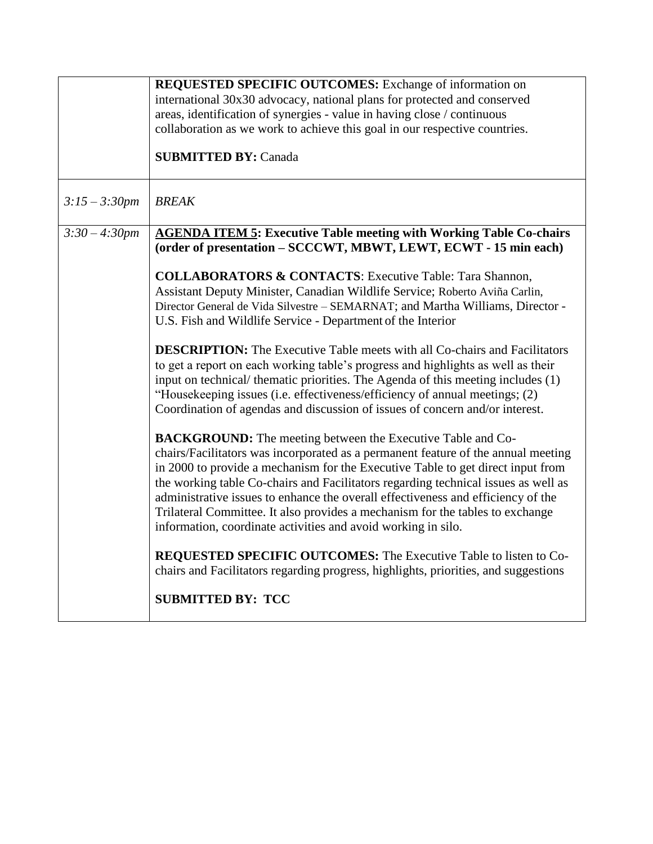|                  | <b>REQUESTED SPECIFIC OUTCOMES:</b> Exchange of information on<br>international 30x30 advocacy, national plans for protected and conserved                                                                                                                                                                                                                                                                                                                                                                                                                             |
|------------------|------------------------------------------------------------------------------------------------------------------------------------------------------------------------------------------------------------------------------------------------------------------------------------------------------------------------------------------------------------------------------------------------------------------------------------------------------------------------------------------------------------------------------------------------------------------------|
|                  | areas, identification of synergies - value in having close / continuous                                                                                                                                                                                                                                                                                                                                                                                                                                                                                                |
|                  | collaboration as we work to achieve this goal in our respective countries.                                                                                                                                                                                                                                                                                                                                                                                                                                                                                             |
|                  | <b>SUBMITTED BY: Canada</b>                                                                                                                                                                                                                                                                                                                                                                                                                                                                                                                                            |
| $3:15 - 3:30$ pm | <b>BREAK</b>                                                                                                                                                                                                                                                                                                                                                                                                                                                                                                                                                           |
| $3:30 - 4:30$ pm | <b>AGENDA ITEM 5: Executive Table meeting with Working Table Co-chairs</b><br>(order of presentation - SCCCWT, MBWT, LEWT, ECWT - 15 min each)                                                                                                                                                                                                                                                                                                                                                                                                                         |
|                  | <b>COLLABORATORS &amp; CONTACTS:</b> Executive Table: Tara Shannon,<br>Assistant Deputy Minister, Canadian Wildlife Service; Roberto Aviña Carlin,<br>Director General de Vida Silvestre - SEMARNAT; and Martha Williams, Director -<br>U.S. Fish and Wildlife Service - Department of the Interior                                                                                                                                                                                                                                                                    |
|                  | <b>DESCRIPTION:</b> The Executive Table meets with all Co-chairs and Facilitators<br>to get a report on each working table's progress and highlights as well as their<br>input on technical/ thematic priorities. The Agenda of this meeting includes (1)<br>"Housekeeping issues (i.e. effectiveness/efficiency of annual meetings; (2)<br>Coordination of agendas and discussion of issues of concern and/or interest.                                                                                                                                               |
|                  | <b>BACKGROUND:</b> The meeting between the Executive Table and Co-<br>chairs/Facilitators was incorporated as a permanent feature of the annual meeting<br>in 2000 to provide a mechanism for the Executive Table to get direct input from<br>the working table Co-chairs and Facilitators regarding technical issues as well as<br>administrative issues to enhance the overall effectiveness and efficiency of the<br>Trilateral Committee. It also provides a mechanism for the tables to exchange<br>information, coordinate activities and avoid working in silo. |
|                  | <b>REQUESTED SPECIFIC OUTCOMES:</b> The Executive Table to listen to Co-<br>chairs and Facilitators regarding progress, highlights, priorities, and suggestions                                                                                                                                                                                                                                                                                                                                                                                                        |
|                  | <b>SUBMITTED BY: TCC</b>                                                                                                                                                                                                                                                                                                                                                                                                                                                                                                                                               |